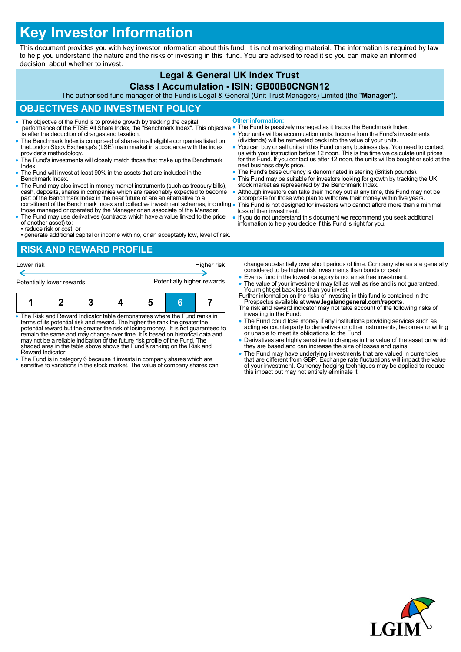# **Key Investor Information**

This document provides you with key investor information about this fund. It is not marketing material. The information is required by law to help you understand the nature and the risks of investing in this fund. You are advised to read it so you can make an informed decision about whether to invest.

# **Legal & General UK Index Trust**

#### **Class I Accumulation - ISIN: GB00B0CNGN12**

The authorised fund manager of the Fund is Legal & General (Unit Trust Managers) Limited (the "**Manager**").

## **OBJECTIVES AND INVESTMENT POLICY**

- The objective of the Fund is to provide growth by tracking the capital performance of the FTSE All Share Index, the "Benchmark Index". This objective is after the deduction of charges and taxation. **Other information:**
- The Benchmark Index is comprised of shares in all eligible companies listed on theLondon Stock Exchange's (LSE) main market in accordance with the index provider's methodology.
- The Fund's investments will closely match those that make up the Benchmark Index.
- The Fund will invest at least 90% in the assets that are included in the Benchmark Index.
- The Fund may also invest in money market instruments (such as treasury bills), cash, deposits, shares in companies which are reasonably expected to become part of the Benchmark Index in the near future or are an alternative to a constituent of the Benchmark Index and collective investment schemes, including
- those managed or operated by the Manager or an associate of the Manager. The Fund may use derivatives (contracts which have a value linked to the price
- of another asset) to: • reduce risk or cost; or
- generate additional capital or income with no, or an acceptably low, level of risk.

#### **RISK AND REWARD PROFILE**

| Lower risk                |  |  |  |                            |   | Higher risk |
|---------------------------|--|--|--|----------------------------|---|-------------|
| Potentially lower rewards |  |  |  | Potentially higher rewards |   |             |
|                           |  |  |  | 5                          | A |             |

- The Risk and Reward Indicator table demonstrates where the Fund ranks in terms of its potential risk and reward. The higher the rank the greater the potential reward but the greater the risk of losing money. It is not guaranteed to remain the same and may change over time. It is based on historical data and may not be a reliable indication of the future risk profile of the Fund. The shaded area in the table above shows the Fund's ranking on the Risk and Reward Indicator.
- The Fund is in category 6 because it invests in company shares which are sensitive to variations in the stock market. The value of company shares can
- 
- The Fund is passively managed as it tracks the Benchmark Index. Your units will be accumulation units. Income from the Fund's investments
- (dividends) will be reinvested back into the value of your units. • You can buy or sell units in this Fund on any business day. You need to contact<br>us with your instruction before 12 noon. This is the time we calculate unit prices<br>for this Fund. If you contact us after 12 noon, the units next business day's price.
- The Fund's base currency is denominated in sterling (British pounds).
- This Fund may be suitable for investors looking for growth by tracking the UK stock market as represented by the Benchmark Index.
- Although investors can take their money out at any time, this Fund may not be appropriate for those who plan to withdraw their money within five years. This Fund is not designed for investors who cannot afford more than a minimal
- loss of their investment. If you do not understand this document we recommend you seek additional
- information to help you decide if this Fund is right for you.

change substantially over short periods of time. Company shares are generally considered to be higher risk investments than bonds or cash.

- Even a fund in the lowest category is not a risk free investment.
- The value of your investment may fall as well as rise and is not guaranteed. You might get back less than you invest. Further information on the risks of investing in this fund is contained in the
- Prospectus available at **www.legalandgeneral.com/reports**. The risk and reward indicator may not take account of the following risks of
- investing in the Fund: The Fund could lose money if any institutions providing services such as acting as counterparty to derivatives or other instruments, becomes unwilling or unable to meet its obligations to the Fund.
- Derivatives are highly sensitive to changes in the value of the asset on which they are based and can increase the size of losses and gains.
- The Fund may have underlying investments that are valued in currencies<br>that are different from GBP. Exchange rate fluctuations will impact the value<br>of your investment. Currency hedging techniques may be applied to reduc